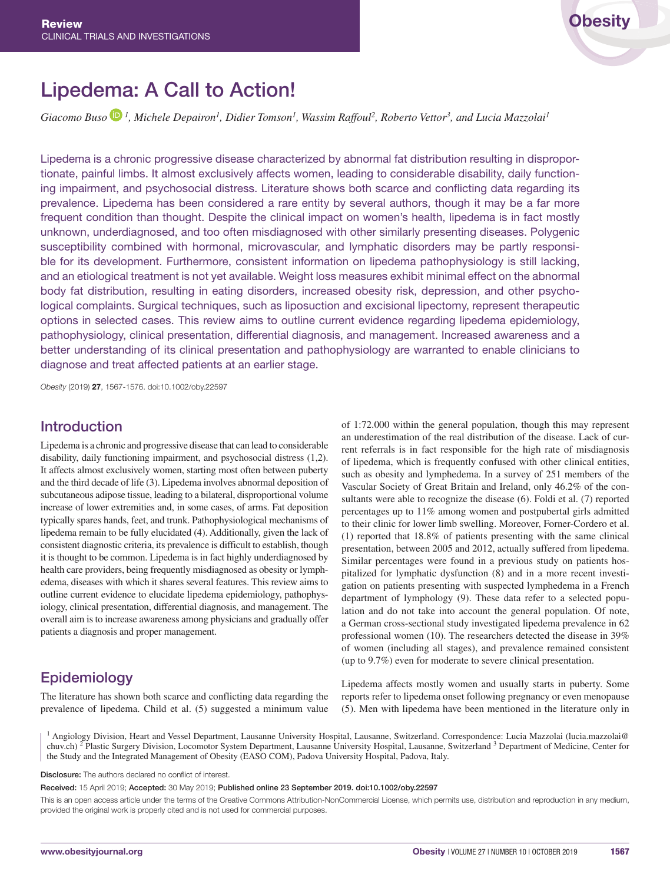# Lipedema: A Call to Action!

*Giac[o](https://orcid.org/0000-0002-5645-9553)mo Buso*  $\mathbb{D}^1$ , Michele Depairon<sup>1</sup>, Didier Tomson<sup>1</sup>, Wassim Raffoul<sup>2</sup>, Roberto Vettor<sup>3</sup>, and Lucia Mazzolai<sup>1</sup>

Lipedema is a chronic progressive disease characterized by abnormal fat distribution resulting in disproportionate, painful limbs. It almost exclusively affects women, leading to considerable disability, daily functioning impairment, and psychosocial distress. Literature shows both scarce and conflicting data regarding its prevalence. Lipedema has been considered a rare entity by several authors, though it may be a far more frequent condition than thought. Despite the clinical impact on women's health, lipedema is in fact mostly unknown, underdiagnosed, and too often misdiagnosed with other similarly presenting diseases. Polygenic susceptibility combined with hormonal, microvascular, and lymphatic disorders may be partly responsible for its development. Furthermore, consistent information on lipedema pathophysiology is still lacking, and an etiological treatment is not yet available. Weight loss measures exhibit minimal effect on the abnormal body fat distribution, resulting in eating disorders, increased obesity risk, depression, and other psychological complaints. Surgical techniques, such as liposuction and excisional lipectomy, represent therapeutic options in selected cases. This review aims to outline current evidence regarding lipedema epidemiology, pathophysiology, clinical presentation, differential diagnosis, and management. Increased awareness and a better understanding of its clinical presentation and pathophysiology are warranted to enable clinicians to diagnose and treat affected patients at an earlier stage.

*Obesity* (2019) 27, 1567-1576. doi:10.1002/oby.22597

## Introduction

Lipedema is a chronic and progressive disease that can lead to considerable disability, daily functioning impairment, and psychosocial distress (1,2). It affects almost exclusively women, starting most often between puberty and the third decade of life (3). Lipedema involves abnormal deposition of subcutaneous adipose tissue, leading to a bilateral, disproportional volume increase of lower extremities and, in some cases, of arms. Fat deposition typically spares hands, feet, and trunk. Pathophysiological mechanisms of lipedema remain to be fully elucidated (4). Additionally, given the lack of consistent diagnostic criteria, its prevalence is difficult to establish, though it is thought to be common. Lipedema is in fact highly underdiagnosed by health care providers, being frequently misdiagnosed as obesity or lymphedema, diseases with which it shares several features. This review aims to outline current evidence to elucidate lipedema epidemiology, pathophysiology, clinical presentation, differential diagnosis, and management. The overall aim is to increase awareness among physicians and gradually offer patients a diagnosis and proper management.

# Epidemiology

The literature has shown both scarce and conflicting data regarding the prevalence of lipedema. Child et al. (5) suggested a minimum value of 1:72.000 within the general population, though this may represent an underestimation of the real distribution of the disease. Lack of current referrals is in fact responsible for the high rate of misdiagnosis of lipedema, which is frequently confused with other clinical entities, such as obesity and lymphedema. In a survey of 251 members of the Vascular Society of Great Britain and Ireland, only 46.2% of the consultants were able to recognize the disease (6). Foldi et al. (7) reported percentages up to 11% among women and postpubertal girls admitted to their clinic for lower limb swelling. Moreover, Forner-Cordero et al. (1) reported that 18.8% of patients presenting with the same clinical presentation, between 2005 and 2012, actually suffered from lipedema. Similar percentages were found in a previous study on patients hospitalized for lymphatic dysfunction (8) and in a more recent investigation on patients presenting with suspected lymphedema in a French department of lymphology (9). These data refer to a selected population and do not take into account the general population. Of note, a German cross-sectional study investigated lipedema prevalence in 62 professional women (10). The researchers detected the disease in 39% of women (including all stages), and prevalence remained consistent (up to 9.7%) even for moderate to severe clinical presentation.

Lipedema affects mostly women and usually starts in puberty. Some reports refer to lipedema onset following pregnancy or even menopause (5). Men with lipedema have been mentioned in the literature only in

<sup>1</sup> Angiology Division, Heart and Vessel Department, Lausanne University Hospital, Lausanne, Switzerland. Correspondence: Lucia Mazzolai [\(lucia.mazzolai@](mailto:lucia.mazzolai@chuv.ch) [chuv.ch](mailto:lucia.mazzolai@chuv.ch))<sup>2</sup> Plastic Surgery Division, Locomotor System Department, Lausanne University Hospital, Lausanne, Switzerland <sup>3</sup> Department of Medicine, Center for the Study and the Integrated Management of Obesity (EASO COM), Padova University Hospital, Padova, Italy.

Disclosure: The authors declared no conflict of interest.

Received: 15 April 2019; Accepted: 30 May 2019; Published online 23 September 2019. doi:10.1002/oby.22597

This is an open access article under the terms of the [Creative Commons Attribution-NonCommercial](http://creativecommons.org/licenses/by-nc/4.0/) License, which permits use, distribution and reproduction in any medium, provided the original work is properly cited and is not used for commercial purposes.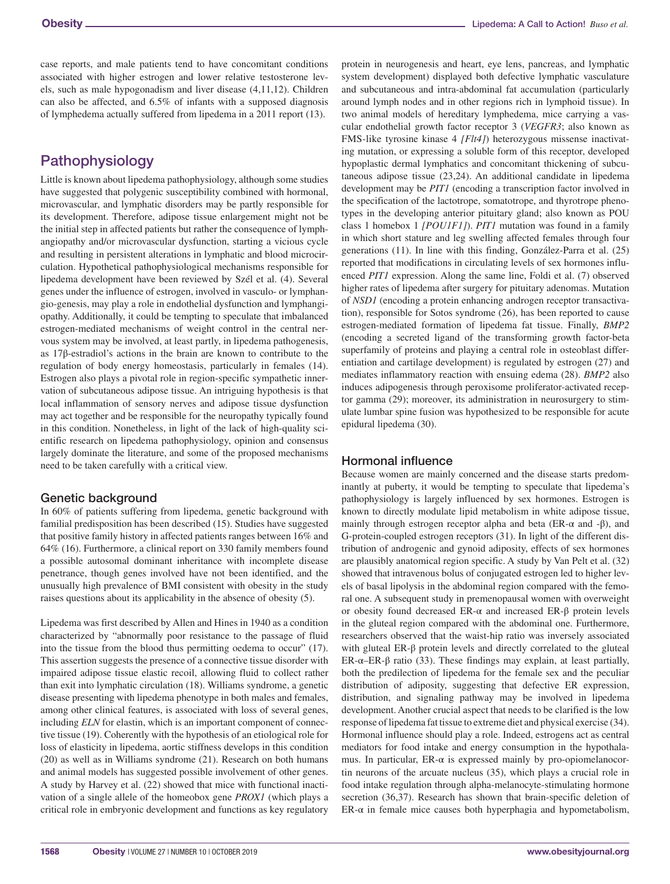case reports, and male patients tend to have concomitant conditions associated with higher estrogen and lower relative testosterone levels, such as male hypogonadism and liver disease (4,11,12). Children can also be affected, and 6.5% of infants with a supposed diagnosis of lymphedema actually suffered from lipedema in a 2011 report (13).

# Pathophysiology

Little is known about lipedema pathophysiology, although some studies have suggested that polygenic susceptibility combined with hormonal, microvascular, and lymphatic disorders may be partly responsible for its development. Therefore, adipose tissue enlargement might not be the initial step in affected patients but rather the consequence of lymphangiopathy and/or microvascular dysfunction, starting a vicious cycle and resulting in persistent alterations in lymphatic and blood microcirculation. Hypothetical pathophysiological mechanisms responsible for lipedema development have been reviewed by Szél et al. (4). Several genes under the influence of estrogen, involved in vasculo- or lymphangio-genesis, may play a role in endothelial dysfunction and lymphangiopathy. Additionally, it could be tempting to speculate that imbalanced estrogen-mediated mechanisms of weight control in the central nervous system may be involved, at least partly, in lipedema pathogenesis, as 17β-estradiol's actions in the brain are known to contribute to the regulation of body energy homeostasis, particularly in females (14). Estrogen also plays a pivotal role in region-specific sympathetic innervation of subcutaneous adipose tissue. An intriguing hypothesis is that local inflammation of sensory nerves and adipose tissue dysfunction may act together and be responsible for the neuropathy typically found in this condition. Nonetheless, in light of the lack of high-quality scientific research on lipedema pathophysiology, opinion and consensus largely dominate the literature, and some of the proposed mechanisms need to be taken carefully with a critical view.

#### Genetic background

In 60% of patients suffering from lipedema, genetic background with familial predisposition has been described (15). Studies have suggested that positive family history in affected patients ranges between 16% and 64% (16). Furthermore, a clinical report on 330 family members found a possible autosomal dominant inheritance with incomplete disease penetrance, though genes involved have not been identified, and the unusually high prevalence of BMI consistent with obesity in the study raises questions about its applicability in the absence of obesity (5).

Lipedema was first described by Allen and Hines in 1940 as a condition characterized by "abnormally poor resistance to the passage of fluid into the tissue from the blood thus permitting oedema to occur" (17). This assertion suggests the presence of a connective tissue disorder with impaired adipose tissue elastic recoil, allowing fluid to collect rather than exit into lymphatic circulation (18). Williams syndrome, a genetic disease presenting with lipedema phenotype in both males and females, among other clinical features, is associated with loss of several genes, including *ELN* for elastin, which is an important component of connective tissue (19). Coherently with the hypothesis of an etiological role for loss of elasticity in lipedema, aortic stiffness develops in this condition (20) as well as in Williams syndrome (21). Research on both humans and animal models has suggested possible involvement of other genes. A study by Harvey et al. (22) showed that mice with functional inactivation of a single allele of the homeobox gene *PROX1* (which plays a critical role in embryonic development and functions as key regulatory

protein in neurogenesis and heart, eye lens, pancreas, and lymphatic system development) displayed both defective lymphatic vasculature and subcutaneous and intra-abdominal fat accumulation (particularly around lymph nodes and in other regions rich in lymphoid tissue). In two animal models of hereditary lymphedema, mice carrying a vascular endothelial growth factor receptor 3 (*VEGFR3*; also known as FMS-like tyrosine kinase 4 *[Flt4]*) heterozygous missense inactivating mutation, or expressing a soluble form of this receptor, developed hypoplastic dermal lymphatics and concomitant thickening of subcutaneous adipose tissue (23,24). An additional candidate in lipedema development may be *PIT1* (encoding a transcription factor involved in the specification of the lactotrope, somatotrope, and thyrotrope phenotypes in the developing anterior pituitary gland; also known as POU class 1 homebox 1 *[POU1F1]*). *PIT1* mutation was found in a family in which short stature and leg swelling affected females through four generations (11). In line with this finding, González-Parra et al. (25) reported that modifications in circulating levels of sex hormones influenced *PIT1* expression. Along the same line, Foldi et al. (7) observed higher rates of lipedema after surgery for pituitary adenomas. Mutation of *NSD1* (encoding a protein enhancing androgen receptor transactivation), responsible for Sotos syndrome (26), has been reported to cause estrogen-mediated formation of lipedema fat tissue. Finally, *BMP2* (encoding a secreted ligand of the transforming growth factor-beta superfamily of proteins and playing a central role in osteoblast differentiation and cartilage development) is regulated by estrogen (27) and mediates inflammatory reaction with ensuing edema (28). *BMP2* also induces adipogenesis through peroxisome proliferator-activated receptor gamma (29); moreover, its administration in neurosurgery to stimulate lumbar spine fusion was hypothesized to be responsible for acute epidural lipedema (30).

#### Hormonal influence

Because women are mainly concerned and the disease starts predominantly at puberty, it would be tempting to speculate that lipedema's pathophysiology is largely influenced by sex hormones. Estrogen is known to directly modulate lipid metabolism in white adipose tissue, mainly through estrogen receptor alpha and beta ( $ER-\alpha$  and  $-\beta$ ), and G-protein-coupled estrogen receptors (31). In light of the different distribution of androgenic and gynoid adiposity, effects of sex hormones are plausibly anatomical region specific. A study by Van Pelt et al. (32) showed that intravenous bolus of conjugated estrogen led to higher levels of basal lipolysis in the abdominal region compared with the femoral one. A subsequent study in premenopausal women with overweight or obesity found decreased ER-α and increased ER-β protein levels in the gluteal region compared with the abdominal one. Furthermore, researchers observed that the waist-hip ratio was inversely associated with gluteal ER-β protein levels and directly correlated to the gluteal ER-α–ER-β ratio (33). These findings may explain, at least partially, both the predilection of lipedema for the female sex and the peculiar distribution of adiposity, suggesting that defective ER expression, distribution, and signaling pathway may be involved in lipedema development. Another crucial aspect that needs to be clarified is the low response of lipedema fat tissue to extreme diet and physical exercise (34). Hormonal influence should play a role. Indeed, estrogens act as central mediators for food intake and energy consumption in the hypothalamus. In particular,  $ER-\alpha$  is expressed mainly by pro-opiomelanocortin neurons of the arcuate nucleus (35), which plays a crucial role in food intake regulation through alpha-melanocyte-stimulating hormone secretion (36,37). Research has shown that brain-specific deletion of ER- $\alpha$  in female mice causes both hyperphagia and hypometabolism,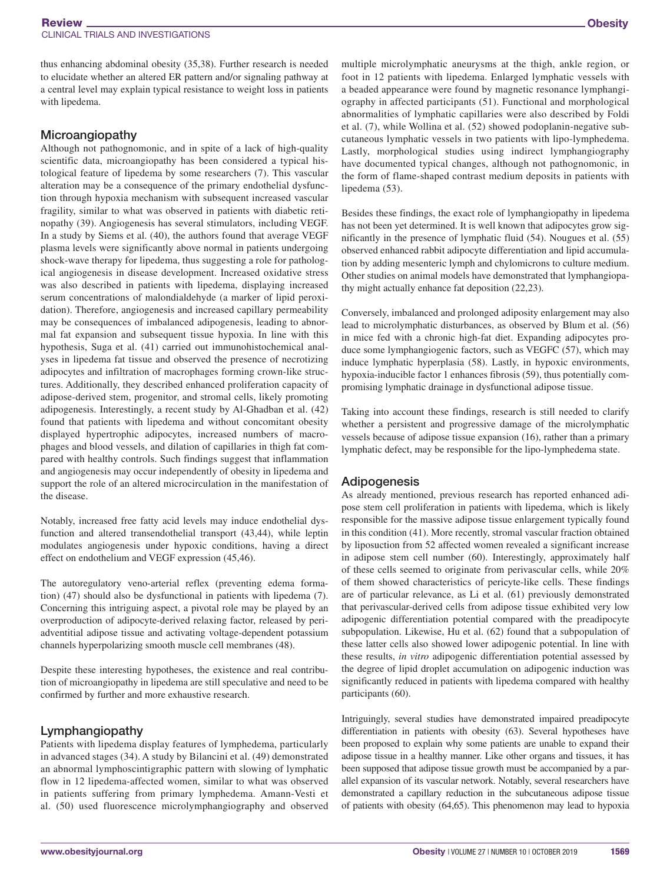thus enhancing abdominal obesity (35,38). Further research is needed to elucidate whether an altered ER pattern and/or signaling pathway at a central level may explain typical resistance to weight loss in patients with lipedema.

#### Microangiopathy

Although not pathognomonic, and in spite of a lack of high-quality scientific data, microangiopathy has been considered a typical histological feature of lipedema by some researchers (7). This vascular alteration may be a consequence of the primary endothelial dysfunction through hypoxia mechanism with subsequent increased vascular fragility, similar to what was observed in patients with diabetic retinopathy (39). Angiogenesis has several stimulators, including VEGF. In a study by Siems et al. (40), the authors found that average VEGF plasma levels were significantly above normal in patients undergoing shock-wave therapy for lipedema, thus suggesting a role for pathological angiogenesis in disease development. Increased oxidative stress was also described in patients with lipedema, displaying increased serum concentrations of malondialdehyde (a marker of lipid peroxidation). Therefore, angiogenesis and increased capillary permeability may be consequences of imbalanced adipogenesis, leading to abnormal fat expansion and subsequent tissue hypoxia. In line with this hypothesis, Suga et al. (41) carried out immunohistochemical analyses in lipedema fat tissue and observed the presence of necrotizing adipocytes and infiltration of macrophages forming crown-like structures. Additionally, they described enhanced proliferation capacity of adipose-derived stem, progenitor, and stromal cells, likely promoting adipogenesis. Interestingly, a recent study by Al-Ghadban et al. (42) found that patients with lipedema and without concomitant obesity displayed hypertrophic adipocytes, increased numbers of macrophages and blood vessels, and dilation of capillaries in thigh fat compared with healthy controls. Such findings suggest that inflammation and angiogenesis may occur independently of obesity in lipedema and support the role of an altered microcirculation in the manifestation of the disease.

Notably, increased free fatty acid levels may induce endothelial dysfunction and altered transendothelial transport (43,44), while leptin modulates angiogenesis under hypoxic conditions, having a direct effect on endothelium and VEGF expression (45,46).

The autoregulatory veno-arterial reflex (preventing edema formation) (47) should also be dysfunctional in patients with lipedema (7). Concerning this intriguing aspect, a pivotal role may be played by an overproduction of adipocyte-derived relaxing factor, released by periadventitial adipose tissue and activating voltage-dependent potassium channels hyperpolarizing smooth muscle cell membranes (48).

Despite these interesting hypotheses, the existence and real contribution of microangiopathy in lipedema are still speculative and need to be confirmed by further and more exhaustive research.

#### Lymphangiopathy

Patients with lipedema display features of lymphedema, particularly in advanced stages (34). A study by Bilancini et al. (49) demonstrated an abnormal lymphoscintigraphic pattern with slowing of lymphatic flow in 12 lipedema-affected women, similar to what was observed in patients suffering from primary lymphedema. Amann-Vesti et al. (50) used fluorescence microlymphangiography and observed

multiple microlymphatic aneurysms at the thigh, ankle region, or foot in 12 patients with lipedema. Enlarged lymphatic vessels with a beaded appearance were found by magnetic resonance lymphangiography in affected participants (51). Functional and morphological abnormalities of lymphatic capillaries were also described by Foldi et al. (7), while Wollina et al. (52) showed podoplanin-negative subcutaneous lymphatic vessels in two patients with lipo-lymphedema. Lastly, morphological studies using indirect lymphangiography have documented typical changes, although not pathognomonic, in the form of flame-shaped contrast medium deposits in patients with lipedema (53).

Besides these findings, the exact role of lymphangiopathy in lipedema has not been yet determined. It is well known that adipocytes grow significantly in the presence of lymphatic fluid (54). Nougues et al. (55) observed enhanced rabbit adipocyte differentiation and lipid accumulation by adding mesenteric lymph and chylomicrons to culture medium. Other studies on animal models have demonstrated that lymphangiopathy might actually enhance fat deposition (22,23).

Conversely, imbalanced and prolonged adiposity enlargement may also lead to microlymphatic disturbances, as observed by Blum et al. (56) in mice fed with a chronic high-fat diet. Expanding adipocytes produce some lymphangiogenic factors, such as VEGFC (57), which may induce lymphatic hyperplasia (58). Lastly, in hypoxic environments, hypoxia-inducible factor 1 enhances fibrosis (59), thus potentially compromising lymphatic drainage in dysfunctional adipose tissue.

Taking into account these findings, research is still needed to clarify whether a persistent and progressive damage of the microlymphatic vessels because of adipose tissue expansion (16), rather than a primary lymphatic defect, may be responsible for the lipo-lymphedema state.

#### Adipogenesis

As already mentioned, previous research has reported enhanced adipose stem cell proliferation in patients with lipedema, which is likely responsible for the massive adipose tissue enlargement typically found in this condition (41). More recently, stromal vascular fraction obtained by liposuction from 52 affected women revealed a significant increase in adipose stem cell number (60). Interestingly, approximately half of these cells seemed to originate from perivascular cells, while 20% of them showed characteristics of pericyte-like cells. These findings are of particular relevance, as Li et al. (61) previously demonstrated that perivascular-derived cells from adipose tissue exhibited very low adipogenic differentiation potential compared with the preadipocyte subpopulation. Likewise, Hu et al. (62) found that a subpopulation of these latter cells also showed lower adipogenic potential. In line with these results, *in vitro* adipogenic differentiation potential assessed by the degree of lipid droplet accumulation on adipogenic induction was significantly reduced in patients with lipedema compared with healthy participants (60).

Intriguingly, several studies have demonstrated impaired preadipocyte differentiation in patients with obesity (63). Several hypotheses have been proposed to explain why some patients are unable to expand their adipose tissue in a healthy manner. Like other organs and tissues, it has been supposed that adipose tissue growth must be accompanied by a parallel expansion of its vascular network. Notably, several researchers have demonstrated a capillary reduction in the subcutaneous adipose tissue of patients with obesity (64,65). This phenomenon may lead to hypoxia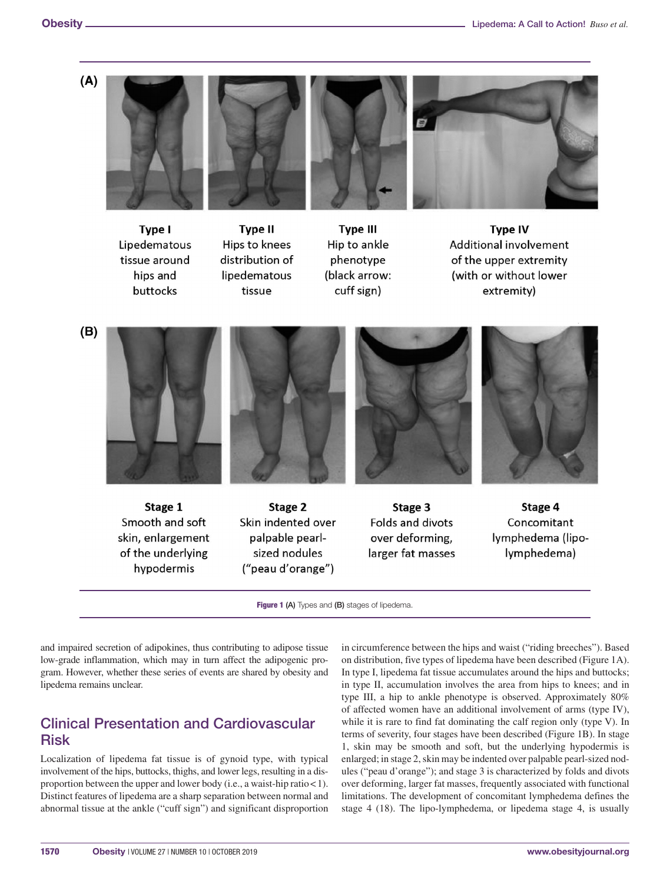







**Type II** Hips to knees distribution of lipedematous tissue





**Type IV** Additional involvement of the upper extremity (with or without lower extremity)



skin, enlargement of the underlying hypodermis

palpable pearlsized nodules ("peau d'orange")





Figure 1 (A) Types and (B) stages of lipedema.

and impaired secretion of adipokines, thus contributing to adipose tissue low-grade inflammation, which may in turn affect the adipogenic program. However, whether these series of events are shared by obesity and lipedema remains unclear.

# Clinical Presentation and Cardiovascular Risk

Localization of lipedema fat tissue is of gynoid type, with typical involvement of the hips, buttocks, thighs, and lower legs, resulting in a disproportion between the upper and lower body (i.e., a waist-hip ratio<1). Distinct features of lipedema are a sharp separation between normal and abnormal tissue at the ankle ("cuff sign") and significant disproportion in circumference between the hips and waist ("riding breeches"). Based on distribution, five types of lipedema have been described (Figure 1A). In type I, lipedema fat tissue accumulates around the hips and buttocks; in type II, accumulation involves the area from hips to knees; and in type III, a hip to ankle phenotype is observed. Approximately 80% of affected women have an additional involvement of arms (type IV), while it is rare to find fat dominating the calf region only (type V). In terms of severity, four stages have been described (Figure 1B). In stage 1, skin may be smooth and soft, but the underlying hypodermis is enlarged; in stage 2, skin may be indented over palpable pearl-sized nodules ("peau d'orange"); and stage 3 is characterized by folds and divots over deforming, larger fat masses, frequently associated with functional limitations. The development of concomitant lymphedema defines the stage 4 (18). The lipo-lymphedema, or lipedema stage 4, is usually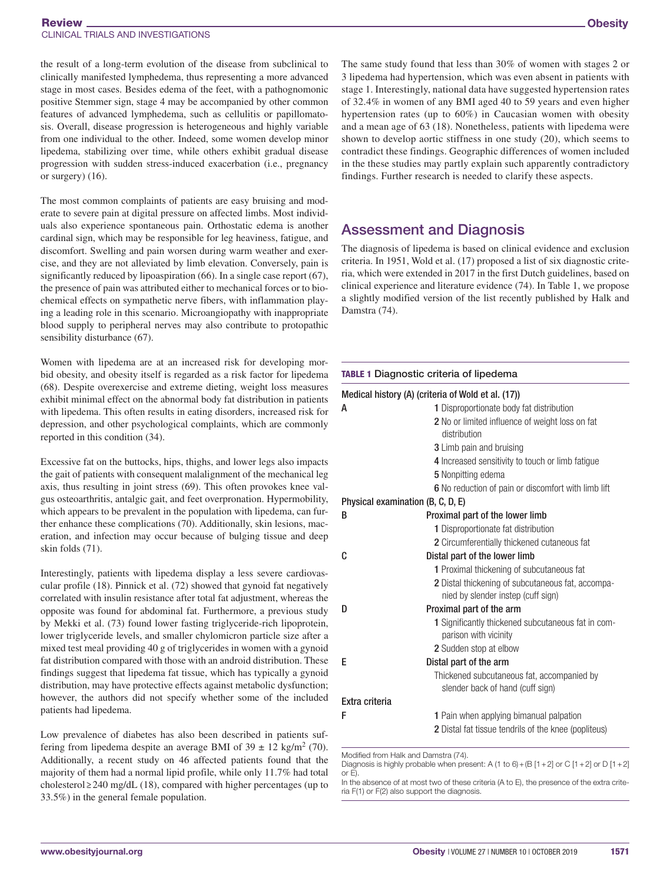the result of a long-term evolution of the disease from subclinical to clinically manifested lymphedema, thus representing a more advanced stage in most cases. Besides edema of the feet, with a pathognomonic positive Stemmer sign, stage 4 may be accompanied by other common features of advanced lymphedema, such as cellulitis or papillomatosis. Overall, disease progression is heterogeneous and highly variable from one individual to the other. Indeed, some women develop minor lipedema, stabilizing over time, while others exhibit gradual disease progression with sudden stress-induced exacerbation (i.e., pregnancy or surgery) (16).

The most common complaints of patients are easy bruising and moderate to severe pain at digital pressure on affected limbs. Most individuals also experience spontaneous pain. Orthostatic edema is another cardinal sign, which may be responsible for leg heaviness, fatigue, and discomfort. Swelling and pain worsen during warm weather and exercise, and they are not alleviated by limb elevation. Conversely, pain is significantly reduced by lipoaspiration (66). In a single case report (67), the presence of pain was attributed either to mechanical forces or to biochemical effects on sympathetic nerve fibers, with inflammation playing a leading role in this scenario. Microangiopathy with inappropriate blood supply to peripheral nerves may also contribute to protopathic sensibility disturbance (67).

Women with lipedema are at an increased risk for developing morbid obesity, and obesity itself is regarded as a risk factor for lipedema (68). Despite overexercise and extreme dieting, weight loss measures exhibit minimal effect on the abnormal body fat distribution in patients with lipedema. This often results in eating disorders, increased risk for depression, and other psychological complaints, which are commonly reported in this condition (34).

Excessive fat on the buttocks, hips, thighs, and lower legs also impacts the gait of patients with consequent malalignment of the mechanical leg axis, thus resulting in joint stress (69). This often provokes knee valgus osteoarthritis, antalgic gait, and feet overpronation. Hypermobility, which appears to be prevalent in the population with lipedema, can further enhance these complications (70). Additionally, skin lesions, maceration, and infection may occur because of bulging tissue and deep skin folds (71).

Interestingly, patients with lipedema display a less severe cardiovascular profile (18). Pinnick et al. (72) showed that gynoid fat negatively correlated with insulin resistance after total fat adjustment, whereas the opposite was found for abdominal fat. Furthermore, a previous study by Mekki et al. (73) found lower fasting triglyceride-rich lipoprotein, lower triglyceride levels, and smaller chylomicron particle size after a mixed test meal providing 40 g of triglycerides in women with a gynoid fat distribution compared with those with an android distribution. These findings suggest that lipedema fat tissue, which has typically a gynoid distribution, may have protective effects against metabolic dysfunction; however, the authors did not specify whether some of the included patients had lipedema.

Low prevalence of diabetes has also been described in patients suffering from lipedema despite an average BMI of  $39 \pm 12$  kg/m<sup>2</sup> (70). Additionally, a recent study on 46 affected patients found that the majority of them had a normal lipid profile, while only 11.7% had total cholesterol ≥ 240 mg/dL (18), compared with higher percentages (up to 33.5%) in the general female population.

**Obesity** 

The same study found that less than 30% of women with stages 2 or 3 lipedema had hypertension, which was even absent in patients with stage 1. Interestingly, national data have suggested hypertension rates of 32.4% in women of any BMI aged 40 to 59 years and even higher hypertension rates (up to 60%) in Caucasian women with obesity and a mean age of 63 (18). Nonetheless, patients with lipedema were shown to develop aortic stiffness in one study (20), which seems to contradict these findings. Geographic differences of women included in the these studies may partly explain such apparently contradictory findings. Further research is needed to clarify these aspects.

# Assessment and Diagnosis

The diagnosis of lipedema is based on clinical evidence and exclusion criteria. In 1951, Wold et al. (17) proposed a list of six diagnostic criteria, which were extended in 2017 in the first Dutch guidelines, based on clinical experience and literature evidence (74). In Table 1, we propose a slightly modified version of the list recently published by Halk and Damstra (74).

|                | Medical history (A) (criteria of Wold et al. (17))                                      |
|----------------|-----------------------------------------------------------------------------------------|
| А              | 1 Disproportionate body fat distribution                                                |
|                | 2 No or limited influence of weight loss on fat<br>distribution                         |
|                | <b>3</b> Limb pain and bruising                                                         |
|                | 4 Increased sensitivity to touch or limb fatigue                                        |
|                | 5 Nonpitting edema                                                                      |
|                | 6 No reduction of pain or discomfort with limb lift                                     |
|                | Physical examination (B, C, D, E)                                                       |
| B              | Proximal part of the lower limb                                                         |
|                | 1 Disproportionate fat distribution                                                     |
|                | 2 Circumferentially thickened cutaneous fat                                             |
| C              | Distal part of the lower limb                                                           |
|                | 1 Proximal thickening of subcutaneous fat                                               |
|                | 2 Distal thickening of subcutaneous fat, accompa-<br>nied by slender instep (cuff sign) |
| D              | Proximal part of the arm                                                                |
|                | 1 Significantly thickened subcutaneous fat in com-<br>parison with vicinity             |
|                | 2 Sudden stop at elbow                                                                  |
| E              | Distal part of the arm                                                                  |
|                | Thickened subcutaneous fat, accompanied by<br>slender back of hand (cuff sign)          |
| Extra criteria |                                                                                         |
| F              | <b>1</b> Pain when applying bimanual palpation                                          |
|                | 2 Distal fat tissue tendrils of the knee (popliteus)                                    |

Modified from Halk and Damstra (74).

Diagnosis is highly probable when present: A (1 to 6) + (B [1 + 2] or C [1 + 2] or D [1 + 2]  $or E$ 

In the absence of at most two of these criteria (A to E), the presence of the extra criteria F(1) or F(2) also support the diagnosis.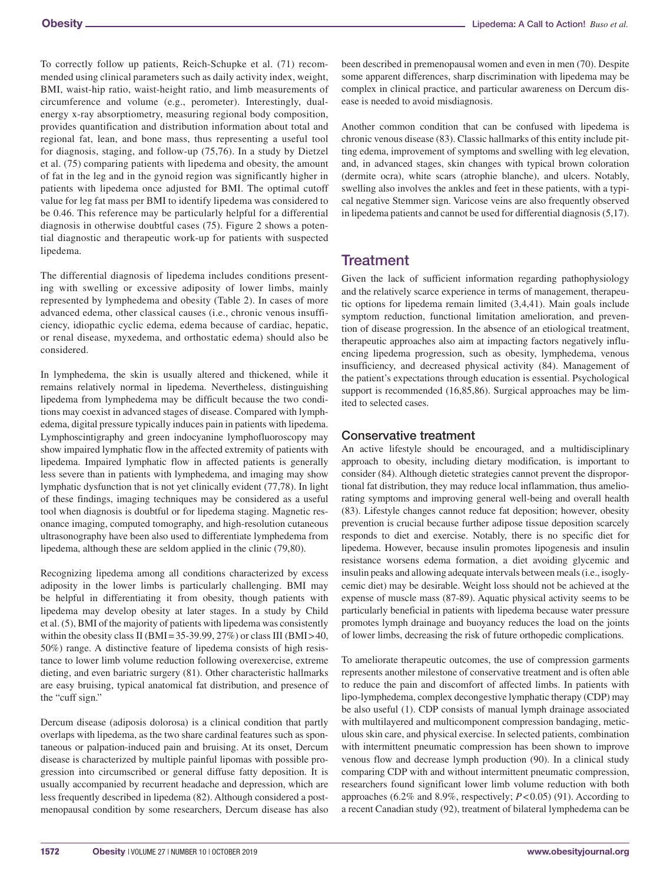To correctly follow up patients, Reich-Schupke et al. (71) recommended using clinical parameters such as daily activity index, weight, BMI, waist-hip ratio, waist-height ratio, and limb measurements of circumference and volume (e.g., perometer). Interestingly, dualenergy x-ray absorptiometry, measuring regional body composition, provides quantification and distribution information about total and regional fat, lean, and bone mass, thus representing a useful tool for diagnosis, staging, and follow-up (75,76). In a study by Dietzel et al. (75) comparing patients with lipedema and obesity, the amount of fat in the leg and in the gynoid region was significantly higher in patients with lipedema once adjusted for BMI. The optimal cutoff value for leg fat mass per BMI to identify lipedema was considered to be 0.46. This reference may be particularly helpful for a differential diagnosis in otherwise doubtful cases (75). Figure 2 shows a potential diagnostic and therapeutic work-up for patients with suspected lipedema.

The differential diagnosis of lipedema includes conditions presenting with swelling or excessive adiposity of lower limbs, mainly represented by lymphedema and obesity (Table 2). In cases of more advanced edema, other classical causes (i.e., chronic venous insufficiency, idiopathic cyclic edema, edema because of cardiac, hepatic, or renal disease, myxedema, and orthostatic edema) should also be considered.

In lymphedema, the skin is usually altered and thickened, while it remains relatively normal in lipedema. Nevertheless, distinguishing lipedema from lymphedema may be difficult because the two conditions may coexist in advanced stages of disease. Compared with lymphedema, digital pressure typically induces pain in patients with lipedema. Lymphoscintigraphy and green indocyanine lymphofluoroscopy may show impaired lymphatic flow in the affected extremity of patients with lipedema. Impaired lymphatic flow in affected patients is generally less severe than in patients with lymphedema, and imaging may show lymphatic dysfunction that is not yet clinically evident (77,78). In light of these findings, imaging techniques may be considered as a useful tool when diagnosis is doubtful or for lipedema staging. Magnetic resonance imaging, computed tomography, and high-resolution cutaneous ultrasonography have been also used to differentiate lymphedema from lipedema, although these are seldom applied in the clinic (79,80).

Recognizing lipedema among all conditions characterized by excess adiposity in the lower limbs is particularly challenging. BMI may be helpful in differentiating it from obesity, though patients with lipedema may develop obesity at later stages. In a study by Child et al. (5), BMI of the majority of patients with lipedema was consistently within the obesity class II (BMI=35-39.99, 27%) or class III (BMI>40, 50%) range. A distinctive feature of lipedema consists of high resistance to lower limb volume reduction following overexercise, extreme dieting, and even bariatric surgery (81). Other characteristic hallmarks are easy bruising, typical anatomical fat distribution, and presence of the "cuff sign."

Dercum disease (adiposis dolorosa) is a clinical condition that partly overlaps with lipedema, as the two share cardinal features such as spontaneous or palpation-induced pain and bruising. At its onset, Dercum disease is characterized by multiple painful lipomas with possible progression into circumscribed or general diffuse fatty deposition. It is usually accompanied by recurrent headache and depression, which are less frequently described in lipedema (82). Although considered a postmenopausal condition by some researchers, Dercum disease has also been described in premenopausal women and even in men (70). Despite some apparent differences, sharp discrimination with lipedema may be complex in clinical practice, and particular awareness on Dercum disease is needed to avoid misdiagnosis.

Another common condition that can be confused with lipedema is chronic venous disease (83). Classic hallmarks of this entity include pitting edema, improvement of symptoms and swelling with leg elevation, and, in advanced stages, skin changes with typical brown coloration (dermite ocra), white scars (atrophie blanche), and ulcers. Notably, swelling also involves the ankles and feet in these patients, with a typical negative Stemmer sign. Varicose veins are also frequently observed in lipedema patients and cannot be used for differential diagnosis (5,17).

# **Treatment**

Given the lack of sufficient information regarding pathophysiology and the relatively scarce experience in terms of management, therapeutic options for lipedema remain limited (3,4,41). Main goals include symptom reduction, functional limitation amelioration, and prevention of disease progression. In the absence of an etiological treatment, therapeutic approaches also aim at impacting factors negatively influencing lipedema progression, such as obesity, lymphedema, venous insufficiency, and decreased physical activity (84). Management of the patient's expectations through education is essential. Psychological support is recommended (16,85,86). Surgical approaches may be limited to selected cases.

### Conservative treatment

An active lifestyle should be encouraged, and a multidisciplinary approach to obesity, including dietary modification, is important to consider (84). Although dietetic strategies cannot prevent the disproportional fat distribution, they may reduce local inflammation, thus ameliorating symptoms and improving general well-being and overall health (83). Lifestyle changes cannot reduce fat deposition; however, obesity prevention is crucial because further adipose tissue deposition scarcely responds to diet and exercise. Notably, there is no specific diet for lipedema. However, because insulin promotes lipogenesis and insulin resistance worsens edema formation, a diet avoiding glycemic and insulin peaks and allowing adequate intervals between meals (i.e., isoglycemic diet) may be desirable. Weight loss should not be achieved at the expense of muscle mass (87-89). Aquatic physical activity seems to be particularly beneficial in patients with lipedema because water pressure promotes lymph drainage and buoyancy reduces the load on the joints of lower limbs, decreasing the risk of future orthopedic complications.

To ameliorate therapeutic outcomes, the use of compression garments represents another milestone of conservative treatment and is often able to reduce the pain and discomfort of affected limbs. In patients with lipo-lymphedema, complex decongestive lymphatic therapy (CDP) may be also useful (1). CDP consists of manual lymph drainage associated with multilayered and multicomponent compression bandaging, meticulous skin care, and physical exercise. In selected patients, combination with intermittent pneumatic compression has been shown to improve venous flow and decrease lymph production (90). In a clinical study comparing CDP with and without intermittent pneumatic compression, researchers found significant lower limb volume reduction with both approaches (6.2% and 8.9%, respectively; *P*<0.05) (91). According to a recent Canadian study (92), treatment of bilateral lymphedema can be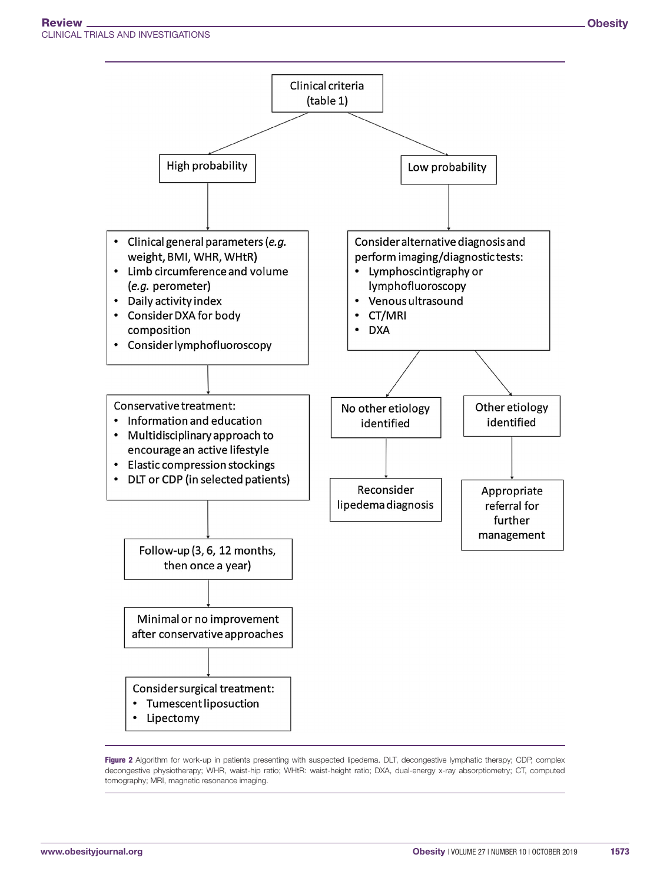Clinical Trials and Investigations



Figure 2 Algorithm for work-up in patients presenting with suspected lipedema. DLT, decongestive lymphatic therapy; CDP, complex decongestive physiotherapy; WHR, waist-hip ratio; WHtR: waist-height ratio; DXA, dual-energy x-ray absorptiometry; CT, computed tomography; MRI, magnetic resonance imaging.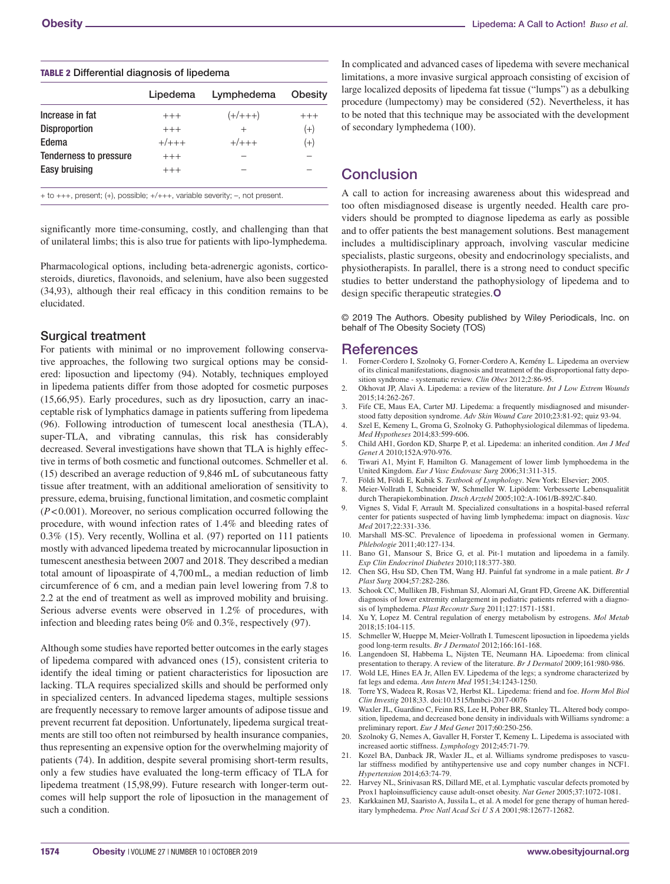|                        | Lipedema | Lymphedema | Obesity |
|------------------------|----------|------------|---------|
| Increase in fat        | $+++$    | $(+/+++)$  | $+++$   |
| <b>Disproportion</b>   | $+++$    | $^{+}$     | $(+)$   |
| Edema                  | $+/+++$  | $+/- + +$  | $(+)$   |
| Tenderness to pressure | $+++$    |            |         |
| Easy bruising          | $+++$    |            |         |

TABLE 2 Differential diagnosis of lipedema

significantly more time-consuming, costly, and challenging than that of unilateral limbs; this is also true for patients with lipo-lymphedema.

Pharmacological options, including beta-adrenergic agonists, corticosteroids, diuretics, flavonoids, and selenium, have also been suggested (34,93), although their real efficacy in this condition remains to be elucidated.

#### Surgical treatment

For patients with minimal or no improvement following conservative approaches, the following two surgical options may be considered: liposuction and lipectomy (94). Notably, techniques employed in lipedema patients differ from those adopted for cosmetic purposes (15,66,95). Early procedures, such as dry liposuction, carry an inacceptable risk of lymphatics damage in patients suffering from lipedema (96). Following introduction of tumescent local anesthesia (TLA), super-TLA, and vibrating cannulas, this risk has considerably decreased. Several investigations have shown that TLA is highly effective in terms of both cosmetic and functional outcomes. Schmeller et al. (15) described an average reduction of 9,846 mL of subcutaneous fatty tissue after treatment, with an additional amelioration of sensitivity to pressure, edema, bruising, functional limitation, and cosmetic complaint (*P*<0.001). Moreover, no serious complication occurred following the procedure, with wound infection rates of 1.4% and bleeding rates of 0.3% (15). Very recently, Wollina et al. (97) reported on 111 patients mostly with advanced lipedema treated by microcannular liposuction in tumescent anesthesia between 2007 and 2018. They described a median total amount of lipoaspirate of 4,700mL, a median reduction of limb circumference of 6 cm, and a median pain level lowering from 7.8 to 2.2 at the end of treatment as well as improved mobility and bruising. Serious adverse events were observed in 1.2% of procedures, with infection and bleeding rates being 0% and 0.3%, respectively (97).

Although some studies have reported better outcomes in the early stages of lipedema compared with advanced ones (15), consistent criteria to identify the ideal timing or patient characteristics for liposuction are lacking. TLA requires specialized skills and should be performed only in specialized centers. In advanced lipedema stages, multiple sessions are frequently necessary to remove larger amounts of adipose tissue and prevent recurrent fat deposition. Unfortunately, lipedema surgical treatments are still too often not reimbursed by health insurance companies, thus representing an expensive option for the overwhelming majority of patients (74). In addition, despite several promising short-term results, only a few studies have evaluated the long-term efficacy of TLA for lipedema treatment (15,98,99). Future research with longer-term outcomes will help support the role of liposuction in the management of such a condition.

In complicated and advanced cases of lipedema with severe mechanical limitations, a more invasive surgical approach consisting of excision of large localized deposits of lipedema fat tissue ("lumps") as a debulking procedure (lumpectomy) may be considered (52). Nevertheless, it has to be noted that this technique may be associated with the development of secondary lymphedema (100).

## **Conclusion**

A call to action for increasing awareness about this widespread and too often misdiagnosed disease is urgently needed. Health care providers should be prompted to diagnose lipedema as early as possible and to offer patients the best management solutions. Best management includes a multidisciplinary approach, involving vascular medicine specialists, plastic surgeons, obesity and endocrinology specialists, and physiotherapists. In parallel, there is a strong need to conduct specific studies to better understand the pathophysiology of lipedema and to design specific therapeutic strategies.**O**

© 2019 The Authors. Obesity published by Wiley Periodicals, Inc. on behalf of The Obesity Society (TOS)

# **References**<br>1. Forner-Cordero I, S

- 1. Forner-Cordero I, Szolnoky G, Forner-Cordero A, Kemény L. Lipedema an overview of its clinical manifestations, diagnosis and treatment of the disproportional fatty deposition syndrome - systematic review. *Clin Obes* 2012;2:86-95.
- 2. Okhovat JP, Alavi A. Lipedema: a review of the literature. *Int J Low Extrem Wounds* 2015;14:262-267.
- 3. Fife CE, Maus EA, Carter MJ. Lipedema: a frequently misdiagnosed and misunderstood fatty deposition syndrome. *Adv Skin Wound Care* 2010;23:81-92; quiz 93-94.
- 4. Szel E, Kemeny L, Groma G, Szolnoky G. Pathophysiological dilemmas of lipedema. *Med Hypotheses* 2014;83:599-606.
- 5. Child AH1, Gordon KD, Sharpe P, et al. Lipedema: an inherited condition. *Am J Med Genet A* 2010;152A:970-976.
- 6. Tiwari A1, Myint F, Hamilton G. Management of lower limb lymphoedema in the United Kingdom. *Eur J Vasc Endovasc Surg* 2006;31:311-315.
- 7. Földi M, Földi E, Kubik S. *Textbook of Lymphology*. New York: Elsevier; 2005.
- 8. Meier-Vollrath I, Schneider W, Schmeller W. Lipödem: Verbesserte Lebensqualität durch Therapiekombination. *Dtsch Arztebl* 2005;102:A-1061/B-892/C-840.
- 9. Vignes S, Vidal F, Arrault M. Specialized consultations in a hospital-based referral center for patients suspected of having limb lymphedema: impact on diagnosis. *Vasc Med* 2017;22:331-336.
- 10. Marshall MS-SC. Prevalence of lipoedema in professional women in Germany. *Phlebologie* 2011;40:127-134.
- 11. Bano G1, Mansour S, Brice G, et al. Pit-1 mutation and lipoedema in a family. *Exp Clin Endocrinol Diabetes* 2010;118:377-380.
- 12. Chen SG, Hsu SD, Chen TM, Wang HJ. Painful fat syndrome in a male patient. *Br J Plast Surg* 2004;57:282-286.
- 13. Schook CC, Mulliken JB, Fishman SJ, Alomari AI, Grant FD, Greene AK. Differential diagnosis of lower extremity enlargement in pediatric patients referred with a diagnosis of lymphedema. *Plast Reconstr Surg* 2011;127:1571-1581.
- 14. Xu Y, Lopez M. Central regulation of energy metabolism by estrogens. *Mol Metab* 2018;15:104-115.
- 15. Schmeller W, Hueppe M, Meier-Vollrath I. Tumescent liposuction in lipoedema yields good long-term results. *Br J Dermatol* 2012;166:161-168.
- 16. Langendoen SI, Habbema L, Nijsten TE, Neumann HA. Lipoedema: from clinical presentation to therapy. A review of the literature. *Br J Dermatol* 2009;161:980-986.
- 17. Wold LE, Hines EA Jr, Allen EV. Lipedema of the legs; a syndrome characterized by fat legs and edema. *Ann Intern Med* 1951;34:1243-1250.
- 18. Torre YS, Wadeea R, Rosas V2, Herbst KL. Lipedema: friend and foe. *Horm Mol Biol Clin Investig* 2018;33. doi:[10.1515/hmbci-2017-0076](https://doi.org/10.1515/hmbci-2017-0076)
- 19. Waxler JL, Guardino C, Feinn RS, Lee H, Pober BR, Stanley TL. Altered body composition, lipedema, and decreased bone density in individuals with Williams syndrome: a preliminary report. *Eur J Med Genet* 2017;60:250-256.
- 20. Szolnoky G, Nemes A, Gavaller H, Forster T, Kemeny L. Lipedema is associated with increased aortic stiffness. *Lymphology* 2012;45:71-79.
- 21. Kozel BA, Danback JR, Waxler JL, et al. Williams syndrome predisposes to vascular stiffness modified by antihypertensive use and copy number changes in NCF1. *Hypertension* 2014;63:74-79.
- 22. Harvey NL, Srinivasan RS, Dillard ME, et al. Lymphatic vascular defects promoted by Prox1 haploinsufficiency cause adult-onset obesity. *Nat Genet* 2005;37:1072-1081.
- 23. Karkkainen MJ, Saaristo A, Jussila L, et al. A model for gene therapy of human hereditary lymphedema. *Proc Natl Acad Sci U S A* 2001;98:12677-12682.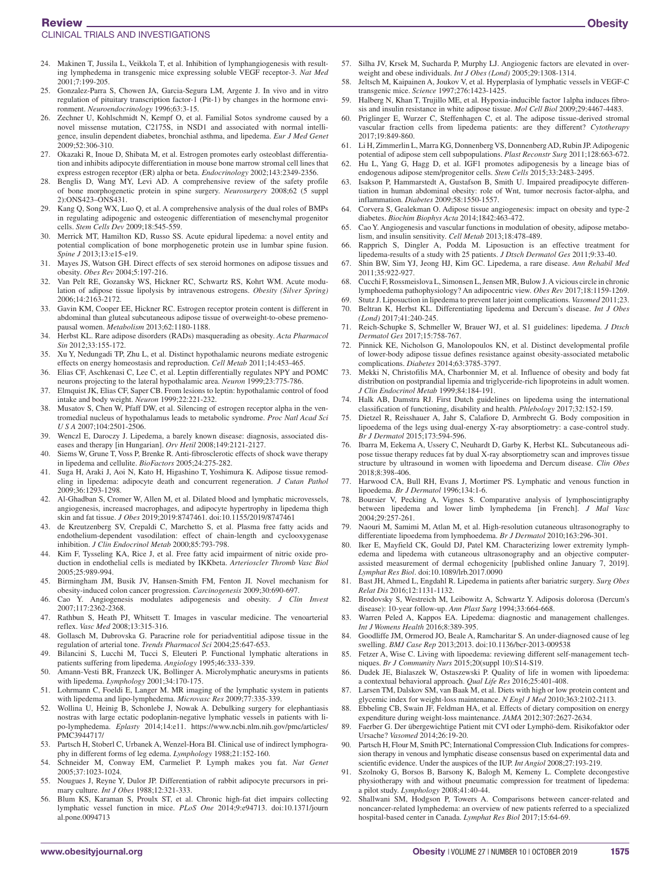#### Review

- 24. Makinen T, Jussila L, Veikkola T, et al. Inhibition of lymphangiogenesis with resulting lymphedema in transgenic mice expressing soluble VEGF receptor-3. *Nat Med* 2001;7:199-205.
- 25. Gonzalez-Parra S, Chowen JA, Garcia-Segura LM, Argente J. In vivo and in vitro regulation of pituitary transcription factor-1 (Pit-1) by changes in the hormone environment. *Neuroendocrinology* 1996;63:3-15.
- 26. Zechner U, Kohlschmidt N, Kempf O, et al. Familial Sotos syndrome caused by a novel missense mutation, C2175S, in NSD1 and associated with normal intelligence, insulin dependent diabetes, bronchial asthma, and lipedema. *Eur J Med Genet* 2009;52:306-310.
- 27. Okazaki R, Inoue D, Shibata M, et al. Estrogen promotes early osteoblast differentiation and inhibits adipocyte differentiation in mouse bone marrow stromal cell lines that express estrogen receptor (ER) alpha or beta. *Endocrinology* 2002;143:2349-2356.
- 28. Benglis D, Wang MY, Levi AD. A comprehensive review of the safety profile of bone morphogenetic protein in spine surgery. *Neurosurgery* 2008;62 (5 suppl 2):ONS423–ONS431.
- Kang Q, Song WX, Luo Q, et al. A comprehensive analysis of the dual roles of BMPs in regulating adipogenic and osteogenic differentiation of mesenchymal progenitor cells. *Stem Cells Dev* 2009;18:545-559.
- 30. Merrick MT, Hamilton KD, Russo SS. Acute epidural lipedema: a novel entity and potential complication of bone morphogenetic protein use in lumbar spine fusion. *Spine J* 2013;13:e15-e19.
- 31. Mayes JS, Watson GH. Direct effects of sex steroid hormones on adipose tissues and obesity. *Obes Rev* 2004;5:197-216.
- 32. Van Pelt RE, Gozansky WS, Hickner RC, Schwartz RS, Kohrt WM. Acute modulation of adipose tissue lipolysis by intravenous estrogens. *Obesity (Silver Spring)* 2006;14:2163-2172.
- 33. Gavin KM, Cooper EE, Hickner RC. Estrogen receptor protein content is different in abdominal than gluteal subcutaneous adipose tissue of overweight-to-obese premenopausal women. *Metabolism* 2013;62:1180-1188.
- 34. Herbst KL. Rare adipose disorders (RADs) masquerading as obesity. *Acta Pharmacol Sin* 2012;33:155-172.
- 35. Xu Y, Nedungadi TP, Zhu L, et al. Distinct hypothalamic neurons mediate estrogenic effects on energy homeostasis and reproduction. *Cell Metab* 2011;14:453-465.
- 36. Elias CF, Aschkenasi C, Lee C, et al. Leptin differentially regulates NPY and POMC neurons projecting to the lateral hypothalamic area. *Neuron* 1999;23:775-786.
- 37. Elmquist JK, Elias CF, Saper CB. From lesions to leptin: hypothalamic control of food intake and body weight. *Neuron* 1999;22:221-232.
- 38. Musatov S, Chen W, Pfaff DW, et al. Silencing of estrogen receptor alpha in the ventromedial nucleus of hypothalamus leads to metabolic syndrome. *Proc Natl Acad Sci U S A* 2007;104:2501-2506.
- 39. Wenczl E, Daroczy J. Lipedema, a barely known disease: diagnosis, associated diseases and therapy [in Hungarian]. *Orv Hetil* 2008;149:2121-2127.
- 40. Siems W, Grune T, Voss P, Brenke R. Anti-fibrosclerotic effects of shock wave therapy in lipedema and cellulite. *BioFactors* 2005;24:275-282.
- 41. Suga H, Araki J, Aoi N, Kato H, Higashino T, Yoshimura K. Adipose tissue remodeling in lipedema: adipocyte death and concurrent regeneration. *J Cutan Pathol* 2009;36:1293-1298.
- 42. Al-Ghadban S, Cromer W, Allen M, et al. Dilated blood and lymphatic microvessels, angiogenesis, increased macrophages, and adipocyte hypertrophy in lipedema thigh skin and fat tissue. *J Obes* 2019;2019:8747461. doi:[10.1155/2019/8747461](https://doi.org/10.1155/2019/8747461)
- 43. de Kreutzenberg SV, Crepaldi C, Marchetto S, et al. Plasma free fatty acids and endothelium-dependent vasodilation: effect of chain-length and cyclooxygenase inhibition. *J Clin Endocrinol Metab* 2000;85:793-798.
- 44. Kim F, Tysseling KA, Rice J, et al. Free fatty acid impairment of nitric oxide production in endothelial cells is mediated by IKKbeta. *Arterioscler Thromb Vasc Biol* 2005;25:989-994.
- 45. Birmingham JM, Busik JV, Hansen-Smith FM, Fenton JI. Novel mechanism for obesity-induced colon cancer progression. *Carcinogenesis* 2009;30:690-697.
- 46. Cao Y. Angiogenesis modulates adipogenesis and obesity. *J Clin Invest* 2007;117:2362-2368.
- 47. Rathbun S, Heath PJ, Whitsett T. Images in vascular medicine. The venoarterial reflex. *Vasc Med* 2008;13:315-316.
- 48. Gollasch M, Dubrovska G. Paracrine role for periadventitial adipose tissue in the regulation of arterial tone. *Trends Pharmacol Sci* 2004;25:647-653.
- 49. Bilancini S, Lucchi M, Tucci S, Eleuteri P. Functional lymphatic alterations in patients suffering from lipedema. *Angiology* 1995;46:333-339.
- 50. Amann-Vesti BR, Franzeck UK, Bollinger A. Microlymphatic aneurysms in patients with lipedema. *Lymphology* 2001;34:170-175.
- 51. Lohrmann C, Foeldi E, Langer M. MR imaging of the lymphatic system in patients with lipedema and lipo-lymphedema. *Microvasc Res* 2009;77:335-339.
- 52. Wollina U, Heinig B, Schonlebe J, Nowak A. Debulking surgery for elephantiasis nostras with large ectatic podoplanin-negative lymphatic vessels in patients with lipo-lymphedema. *Eplasty* 2014;14:e11. https://www.ncbi.nlm.nih.gov/pmc/articles/ PMC3944717/
- 53. Partsch H, Stoberl C, Urbanek A, Wenzel-Hora BI. Clinical use of indirect lymphography in different forms of leg edema. *Lymphology* 1988;21:152-160.
- 54. Schneider M, Conway EM, Carmeliet P. Lymph makes you fat. *Nat Genet* 2005;37:1023-1024.
- 55. Nougues J, Reyne Y, Dulor JP. Differentiation of rabbit adipocyte precursors in primary culture. *Int J Obes* 1988;12:321-333.
- 56. Blum KS, Karaman S, Proulx ST, et al. Chronic high-fat diet impairs collecting lymphatic vessel function in mice. *PLoS One* 2014;9:e94713. doi:[10.1371/journ](https://doi.org/10.1371/journal.pone.0094713) [al.pone.0094713](https://doi.org/10.1371/journal.pone.0094713)
- 57. Silha JV, Krsek M, Sucharda P, Murphy LJ. Angiogenic factors are elevated in overweight and obese individuals. *Int J Obes (Lond)* 2005;29:1308-1314.
- 58. Jeltsch M, Kaipainen A, Joukov V, et al. Hyperplasia of lymphatic vessels in VEGF-C transgenic mice. *Science* 1997;276:1423-1425.
- 59. Halberg N, Khan T, Trujillo ME, et al. Hypoxia-inducible factor 1alpha induces fibrosis and insulin resistance in white adipose tissue. *Mol Cell Biol* 2009;29:4467-4483.
- 60. Priglinger E, Wurzer C, Steffenhagen C, et al. The adipose tissue-derived stromal vascular fraction cells from lipedema patients: are they different? *Cytotherapy* 2017;19:849-860.
- 61. Li H, Zimmerlin L, Marra KG, Donnenberg VS, Donnenberg AD, Rubin JP. Adipogenic potential of adipose stem cell subpopulations. *Plast Reconstr Surg* 2011;128:663-672.
- 62. Hu L, Yang G, Hagg D, et al. IGF1 promotes adipogenesis by a lineage bias of endogenous adipose stem/progenitor cells. *Stem Cells* 2015;33:2483-2495.
- Isakson P, Hammarstedt A, Gustafson B, Smith U. Impaired preadipocyte differentiation in human abdominal obesity: role of Wnt, tumor necrosis factor-alpha, and inflammation. *Diabetes* 2009;58:1550-1557.
- 64. Corvera S, Gealekman O. Adipose tissue angiogenesis: impact on obesity and type-2 diabetes. *Biochim Biophys Acta* 2014;1842:463-472.
- 65. Cao Y. Angiogenesis and vascular functions in modulation of obesity, adipose metabolism, and insulin sensitivity. *Cell Metab* 2013;18:478-489.
- 66. Rapprich S, Dingler A, Podda M. Liposuction is an effective treatment for lipedema-results of a study with 25 patients. *J Dtsch Dermatol Ges* 2011;9:33-40.
- 67. Shin BW, Sim YJ, Jeong HJ, Kim GC. Lipedema, a rare disease. *Ann Rehabil Med* 2011;35:922-927.
- 68. Cucchi F, Rossmeislova L, Simonsen L, Jensen MR, Bulow J. A vicious circle in chronic lymphoedema pathophysiology? An adipocentric view. *Obes Rev* 2017;18:1159-1269.
- 69. Stutz J. Liposuction in lipedema to prevent later joint complications. *Vasomed* 2011;23. 70. Beltran K, Herbst KL. Differentiating lipedema and Dercum's disease. *Int J Obes*
- *(Lond)* 2017;41:240-245. 71. Reich-Schupke S, Schmeller W, Brauer WJ, et al. S1 guidelines: lipedema. *J Dtsch*
- *Dermatol Ges* 2017;15:758-767. 72. Pinnick KE, Nicholson G, Manolopoulos KN, et al. Distinct developmental profile
- of lower-body adipose tissue defines resistance against obesity-associated metabolic complications. *Diabetes* 2014;63:3785-3797.
- 73. Mekki N, Christofilis MA, Charbonnier M, et al. Influence of obesity and body fat distribution on postprandial lipemia and triglyceride-rich lipoproteins in adult women. *J Clin Endocrinol Metab* 1999;84:184-191.
- 74. Halk AB, Damstra RJ. First Dutch guidelines on lipedema using the international classification of functioning, disability and health. *Phlebology* 2017;32:152-159.
- 75. Dietzel R, Reisshauer A, Jahr S, Calafiore D, Armbrecht G. Body composition in lipoedema of the legs using dual-energy X-ray absorptiometry: a case-control study. *Br J Dermatol* 2015;173:594-596.
- 76. Ibarra M, Eekema A, Ussery C, Neuhardt D, Garby K, Herbst KL. Subcutaneous adipose tissue therapy reduces fat by dual X-ray absorptiometry scan and improves tissue structure by ultrasound in women with lipoedema and Dercum disease. *Clin Obes* 2018;8:398-406.
- 77. Harwood CA, Bull RH, Evans J, Mortimer PS. Lymphatic and venous function in lipoedema. *Br J Dermatol* 1996;134:1-6.
- 78. Boursier V, Pecking A, Vignes S. Comparative analysis of lymphoscintigraphy between lipedema and lower limb lymphedema [in French]. *J Mal Vasc* 2004;29:257-261.
- 79. Naouri M, Samimi M, Atlan M, et al. High-resolution cutaneous ultrasonography to differentiate lipoedema from lymphoedema. *Br J Dermatol* 2010;163:296-301.
- 80. Iker E, Mayfield CK, Gould DJ, Patel KM. Characterizing lower extremity lymphedema and lipedema with cutaneous ultrasonography and an objective computerassisted measurement of dermal echogenicity [published online January 7, 2019]. *Lymphat Res Biol*. doi:[10.1089/lrb.2017.0090](https://doi.org/10.1089/lrb.2017.0090)
- 81. Bast JH, Ahmed L, Engdahl R. Lipedema in patients after bariatric surgery. *Surg Obes Relat Dis* 2016;12:1131-1132.
- 82. Brodovsky S, Westreich M, Leibowitz A, Schwartz Y. Adiposis dolorosa (Dercum's disease): 10-year follow-up. *Ann Plast Surg* 1994;33:664-668.
- 83. Warren Peled A, Kappos EA. Lipedema: diagnostic and management challenges. *Int J Womens Health* 2016;8:389-395.
- 84. Goodliffe JM, Ormerod JO, Beale A, Ramcharitar S. An under-diagnosed cause of leg swelling. *BMJ Case Rep* 2013;2013. doi:[10.1136/bcr-2013-009538](https://doi.org/10.1136/bcr-2013-009538)
- 85. Fetzer A, Wise C. Living with lipoedema: reviewing different self-management techniques. *Br J Community Nurs* 2015;20(suppl 10):S14-S19.
- 86. Dudek JE, Bialaszek W, Ostaszewski P. Quality of life in women with lipoedema: a contextual behavioral approach. *Qual Life Res* 2016;25:401-408.
- 87. Larsen TM, Dalskov SM, van Baak M, et al. Diets with high or low protein content and glycemic index for weight-loss maintenance. *N Engl J Med* 2010;363:2102-2113.
- 88. Ebbeling CB, Swain JF, Feldman HA, et al. Effects of dietary composition on energy expenditure during weight-loss maintenance. *JAMA* 2012;307:2627-2634.
- 89. Faerber G. Der übergewichtige Patient mit CVI oder Lymphö-dem. Risikofaktor oder Ursache? *Vasomed* 2014;26:19-20.
- 90. Partsch H, Flour M, Smith PC; International Compression Club. Indications for compression therapy in venous and lymphatic disease consensus based on experimental data and scientific evidence. Under the auspices of the IUP. *Int Angiol* 2008;27:193-219.
- 91. Szolnoky G, Borsos B, Barsony K, Balogh M, Kemeny L. Complete decongestive physiotherapy with and without pneumatic compression for treatment of lipedema: a pilot study. *Lymphology* 2008;41:40-44.
- 92. Shallwani SM, Hodgson P, Towers A. Comparisons between cancer-related and noncancer-related lymphedema: an overview of new patients referred to a specialized hospital-based center in Canada. *Lymphat Res Biol* 2017;15:64-69.